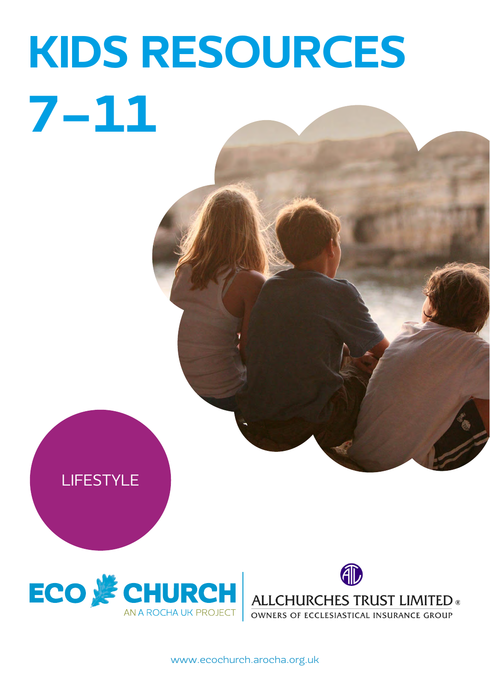# KIDS RESOURCES 7-11





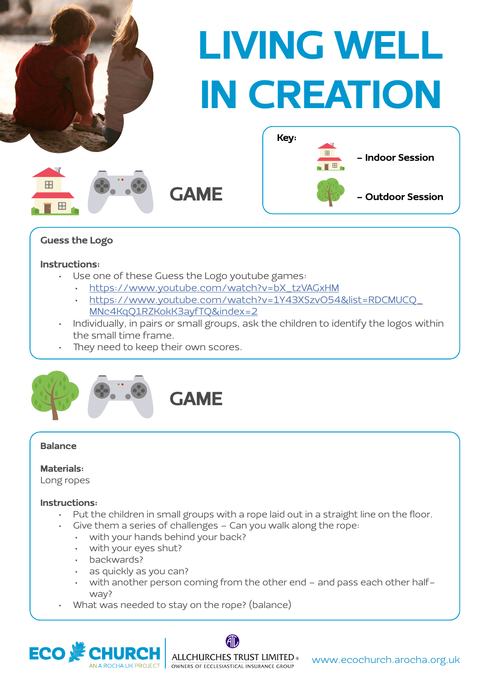

## LIVING WELL IN CREATION



#### Guess the Logo

#### Instructions:

Use one of these Guess the Logo youtube games:

GAME

- [https://www.youtube.com/watch?v=bX\\_tzVAGxHM](https://www.youtube.com/watch?v=bX_tzVAGxHM)
- [https://www.youtube.com/watch?v=1Y43XSzvO54&list=RDCMUCQ\\_](https://www.youtube.com/watch?v=1Y43XSzvO54&list=RDCMUCQ_MNc4KqQ1RZKokK3ayfTQ&index=2) [MNc4KqQ1RZKokK3ayfTQ&index=2](https://www.youtube.com/watch?v=1Y43XSzvO54&list=RDCMUCQ_MNc4KqQ1RZKokK3ayfTQ&index=2)
- Individually, in pairs or small groups, ask the children to identify the logos within the small time frame.
- They need to keep their own scores.



#### Balance

#### Materials:

Long ropes

- Put the children in small groups with a rope laid out in a straight line on the floor.
	- Give them a series of challenges Can you walk along the rope:
		- with your hands behind your back?
		- with your eyes shut?
		- backwards?
		- as quickly as you can?
		- with another person coming from the other end and pass each other halfway?
- What was needed to stay on the rope? (balance)



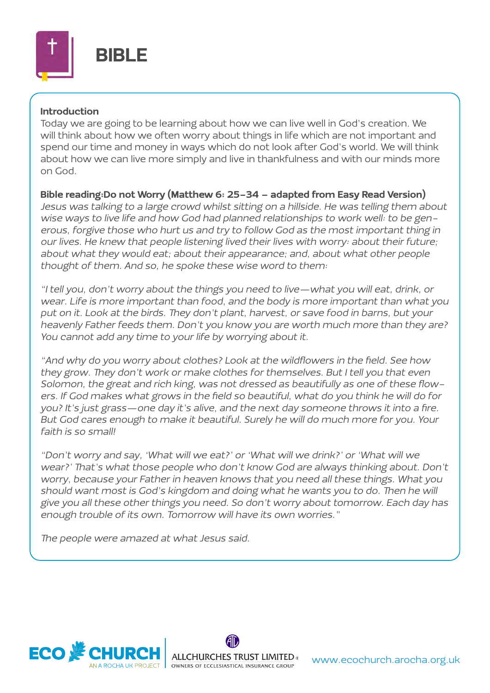

#### Introduction

Today we are going to be learning about how we can live well in God's creation. We will think about how we often worry about things in life which are not important and spend our time and money in ways which do not look after God's world. We will think about how we can live more simply and live in thankfulness and with our minds more on God.

Bible reading:Do not Worry (Matthew 6: 25-34 – adapted from Easy Read Version) Jesus was talking to a large crowd whilst sitting on a hillside. He was telling them about wise ways to live life and how God had planned relationships to work well: to be generous, forgive those who hurt us and try to follow God as the most important thing in our lives. He knew that people listening lived their lives with worry: about their future; about what they would eat; about their appearance; and, about what other people thought of them. And so, he spoke these wise word to them:

"I tell you, don't worry about the things you need to live—what you will eat, drink, or wear. Life is more important than food, and the body is more important than what you put on it. Look at the birds. They don't plant, harvest, or save food in barns, but your heavenly Father feeds them. Don't you know you are worth much more than they are? You cannot add any time to your life by worrying about it.

"And why do you worry about clothes? Look at the wildflowers in the field. See how they grow. They don't work or make clothes for themselves. But I tell you that even Solomon, the great and rich king, was not dressed as beautifully as one of these flowers. If God makes what grows in the field so beautiful, what do you think he will do for you? It's just grass—one day it's alive, and the next day someone throws it into a fire. But God cares enough to make it beautiful. Surely he will do much more for you. Your faith is so small!

"Don't worry and say, 'What will we eat?' or 'What will we drink?' or 'What will we wear?' That's what those people who don't know God are always thinking about. Don't worry, because your Father in heaven knows that you need all these things. What you should want most is God's kingdom and doing what he wants you to do. Then he will give you all these other things you need. So don't worry about tomorrow. Each day has enough trouble of its own. Tomorrow will have its own worries."

The people were amazed at what Jesus said.

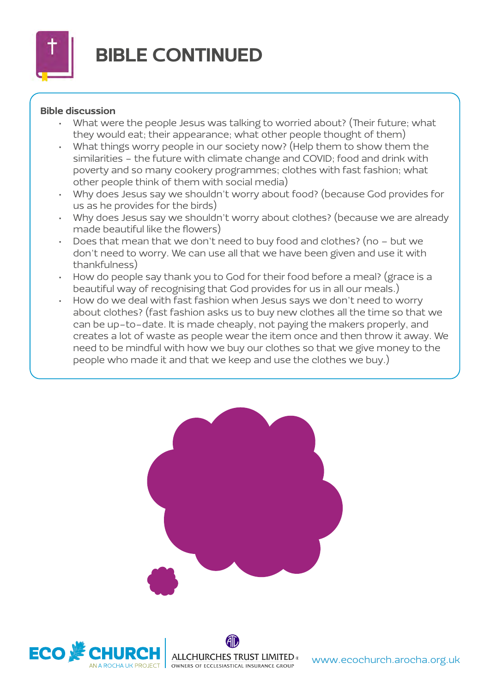

### BIBLE CONTINUED

#### Bible discussion

- What were the people Jesus was talking to worried about? (Their future; what they would eat; their appearance; what other people thought of them)
- What things worry people in our society now? (Help them to show them the similarities - the future with climate change and COVID; food and drink with poverty and so many cookery programmes; clothes with fast fashion; what other people think of them with social media)
- Why does Jesus say we shouldn't worry about food? (because God provides for us as he provides for the birds)
- Why does Jesus say we shouldn't worry about clothes? (because we are already made beautiful like the flowers)
- Does that mean that we don't need to buy food and clothes? (no but we don't need to worry. We can use all that we have been given and use it with thankfulness)
- How do people say thank you to God for their food before a meal? (grace is a beautiful way of recognising that God provides for us in all our meals.)
- How do we deal with fast fashion when Jesus says we don't need to worry about clothes? (fast fashion asks us to buy new clothes all the time so that we can be up-to-date. It is made cheaply, not paying the makers properly, and creates a lot of waste as people wear the item once and then throw it away. We need to be mindful with how we buy our clothes so that we give money to the people who made it and that we keep and use the clothes we buy.)



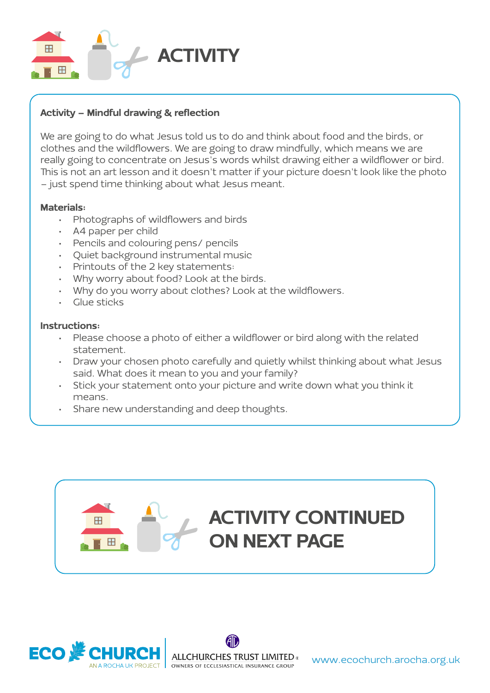

#### Activity – Mindful drawing & reflection

We are going to do what Jesus told us to do and think about food and the birds, or clothes and the wildflowers. We are going to draw mindfully, which means we are really going to concentrate on Jesus's words whilst drawing either a wildflower or bird. This is not an art lesson and it doesn't matter if your picture doesn't look like the photo – just spend time thinking about what Jesus meant.

#### Materials:

- Photographs of wildflowers and birds
- A4 paper per child
- Pencils and colouring pens/ pencils
- Quiet background instrumental music
- Printouts of the 2 key statements:
- Why worry about food? Look at the birds.
- Why do you worry about clothes? Look at the wildflowers.
- Glue sticks

- Please choose a photo of either a wildflower or bird along with the related statement.
- Draw your chosen photo carefully and quietly whilst thinking about what Jesus said. What does it mean to you and your family?
- Stick your statement onto your picture and write down what you think it means.
- Share new understanding and deep thoughts.





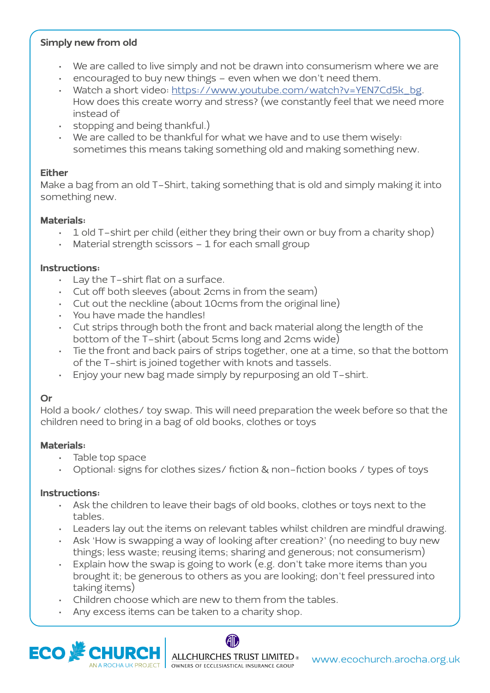#### Simply new from old

- We are called to live simply and not be drawn into consumerism where we are
- encouraged to buy new things even when we don't need them.
- Watch a short video: [https://www.youtube.com/watch?v=YEN7Cd5k\\_bg](https://www.youtube.com/watch?v=YEN7Cd5k_bg). How does this create worry and stress? (we constantly feel that we need more instead of
- stopping and being thankful.)
- We are called to be thankful for what we have and to use them wisely: sometimes this means taking something old and making something new.

#### Either

Make a bag from an old T-Shirt, taking something that is old and simply making it into something new.

#### Materials:

- 1 old T-shirt per child (either they bring their own or buy from a charity shop)
- Material strength scissors 1 for each small group

#### Instructions:

- Lay the T-shirt flat on a surface.
- Cut off both sleeves (about 2cms in from the seam)
- Cut out the neckline (about 10cms from the original line)
- You have made the handles!
- Cut strips through both the front and back material along the length of the bottom of the T-shirt (about 5cms long and 2cms wide)
- Tie the front and back pairs of strips together, one at a time, so that the bottom of the T-shirt is joined together with knots and tassels.
- Enjoy your new bag made simply by repurposing an old T-shirt.

#### Or

Hold a book/ clothes/ toy swap. This will need preparation the week before so that the children need to bring in a bag of old books, clothes or toys

#### Materials:

- Table top space
- Optional: signs for clothes sizes/ fiction & non-fiction books / types of toys

- Ask the children to leave their bags of old books, clothes or toys next to the tables.
- Leaders lay out the items on relevant tables whilst children are mindful drawing.
- Ask 'How is swapping a way of looking after creation?' (no needing to buy new things; less waste; reusing items; sharing and generous; not consumerism)
- Explain how the swap is going to work (e.g. don't take more items than you brought it; be generous to others as you are looking; don't feel pressured into taking items)
- Children choose which are new to them from the tables.
- Any excess items can be taken to a charity shop.



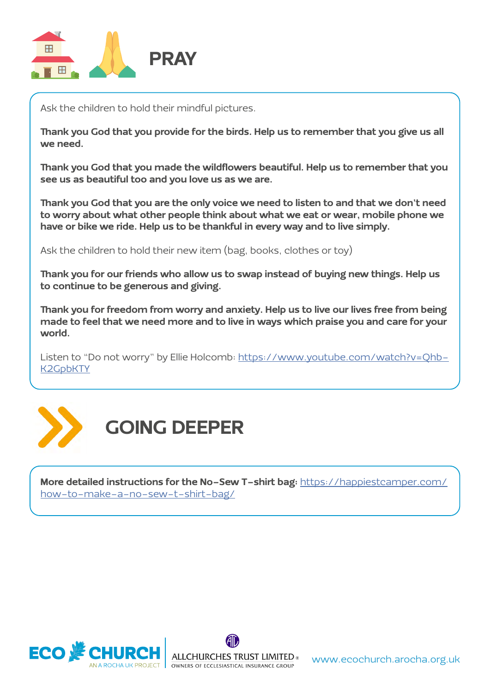

Ask the children to hold their mindful pictures.

Thank you God that you provide for the birds. Help us to remember that you give us all we need.

Thank you God that you made the wildflowers beautiful. Help us to remember that you see us as beautiful too and you love us as we are.

Thank you God that you are the only voice we need to listen to and that we don't need to worry about what other people think about what we eat or wear, mobile phone we have or bike we ride. Help us to be thankful in every way and to live simply.

Ask the children to hold their new item (bag, books, clothes or toy)

Thank you for our friends who allow us to swap instead of buying new things. Help us to continue to be generous and giving.

Thank you for freedom from worry and anxiety. Help us to live our lives free from being made to feel that we need more and to live in ways which praise you and care for your world.

Listen to "Do not worry" by Ellie Holcomb: [https://www.youtube.com/watch?v=Qhb-](https://www.youtube.com/watch?v=QhbK2GpbKTY)[K2GpbKTY](https://www.youtube.com/watch?v=QhbK2GpbKTY)



## GOING DEEPER

More detailed instructions for the No-Sew T-shirt bag: [https://happiestcamper.com/](https://happiestcamper.com/how-to-make-a-no-sew-t-shirt-bag/ ) [how-to-make-a-no-sew-t-shirt-bag/](https://happiestcamper.com/how-to-make-a-no-sew-t-shirt-bag/ )



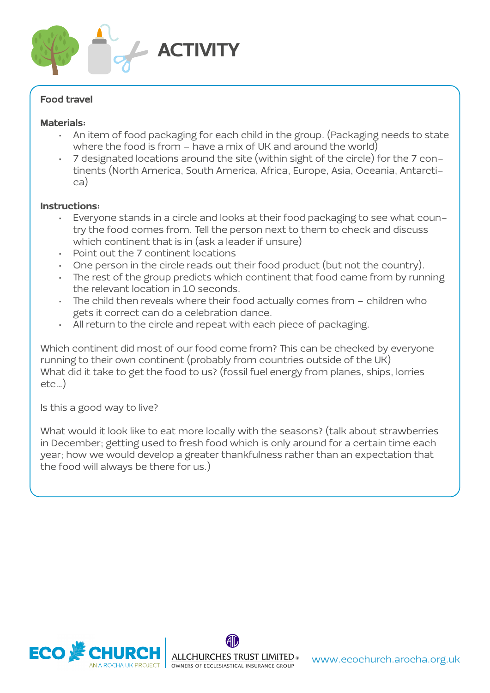

#### Food travel

#### Materials:

- An item of food packaging for each child in the group. (Packaging needs to state where the food is from – have a mix of UK and around the world)
- 7 designated locations around the site (within sight of the circle) for the 7 continents (North America, South America, Africa, Europe, Asia, Oceania, Antarctica)

#### Instructions:

- Everyone stands in a circle and looks at their food packaging to see what country the food comes from. Tell the person next to them to check and discuss which continent that is in (ask a leader if unsure)
- Point out the 7 continent locations
- One person in the circle reads out their food product (but not the country).
- The rest of the group predicts which continent that food came from by running the relevant location in 10 seconds.
- The child then reveals where their food actually comes from children who gets it correct can do a celebration dance.
- All return to the circle and repeat with each piece of packaging.

Which continent did most of our food come from? This can be checked by everyone running to their own continent (probably from countries outside of the UK) What did it take to get the food to us? (fossil fuel energy from planes, ships, lorries etc…)

Is this a good way to live?

What would it look like to eat more locally with the seasons? (talk about strawberries in December; getting used to fresh food which is only around for a certain time each year; how we would develop a greater thankfulness rather than an expectation that the food will always be there for us.)

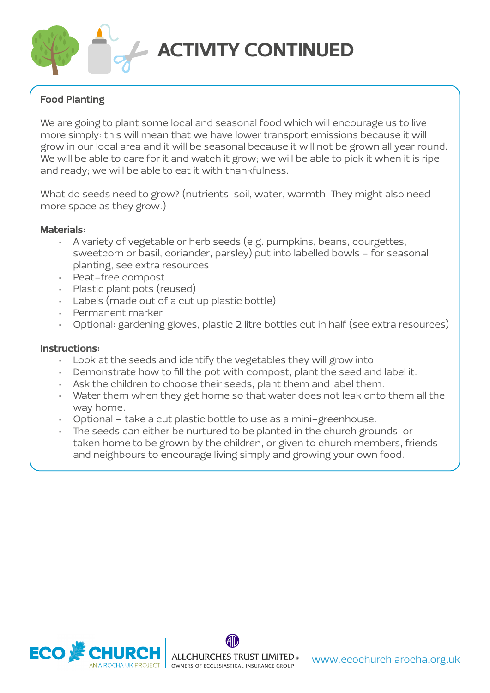

ACTIVITY CONTINUED

#### Food Planting

We are going to plant some local and seasonal food which will encourage us to live more simply: this will mean that we have lower transport emissions because it will grow in our local area and it will be seasonal because it will not be grown all year round. We will be able to care for it and watch it grow; we will be able to pick it when it is ripe and ready; we will be able to eat it with thankfulness.

What do seeds need to grow? (nutrients, soil, water, warmth. They might also need more space as they grow.)

#### Materials:

- A variety of vegetable or herb seeds (e.g. pumpkins, beans, courgettes, sweetcorn or basil, coriander, parsley) put into labelled bowls - for seasonal planting, see extra resources
- Peat-free compost
- Plastic plant pots (reused)
- Labels (made out of a cut up plastic bottle)
- Permanent marker
- Optional: gardening gloves, plastic 2 litre bottles cut in half (see extra resources)

- Look at the seeds and identify the vegetables they will grow into.
- Demonstrate how to fill the pot with compost, plant the seed and label it.
- Ask the children to choose their seeds, plant them and label them.
- Water them when they get home so that water does not leak onto them all the way home.
- Optional take a cut plastic bottle to use as a mini-greenhouse.
- The seeds can either be nurtured to be planted in the church grounds, or taken home to be grown by the children, or given to church members, friends and neighbours to encourage living simply and growing your own food.